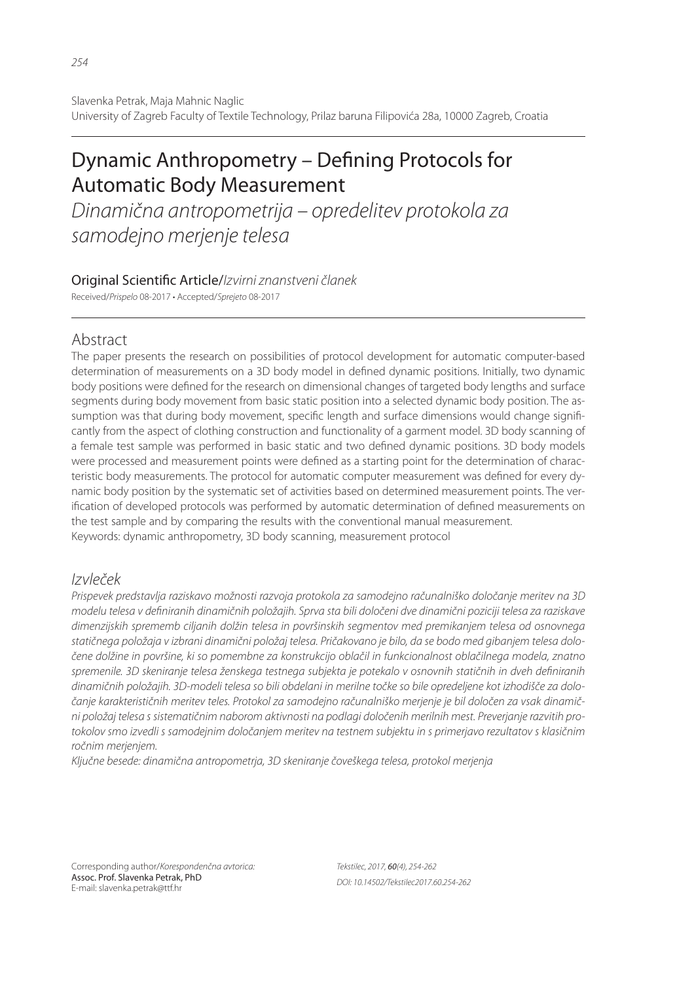# Dynamic Anthropometry – Defining Protocols for Automatic Body Measurement

*Dinamična antropometrija – opredelitev protokola za samodejno merjenje telesa*

## Original Scienti! c Article/*Izvirni znanstveni članek*

Received/*Prispelo* 08-2017 • Accepted/*Sprejeto* 08-2017

## Abstract

The paper presents the research on possibilities of protocol development for automatic computer-based determination of measurements on a 3D body model in defined dynamic positions. Initially, two dynamic body positions were defined for the research on dimensional changes of targeted body lengths and surface segments during body movement from basic static position into a selected dynamic body position. The assumption was that during body movement, specific length and surface dimensions would change significantly from the aspect of clothing construction and functionality of a garment model. 3D body scanning of a female test sample was performed in basic static and two defined dynamic positions. 3D body models were processed and measurement points were defined as a starting point for the determination of characteristic body measurements. The protocol for automatic computer measurement was defined for every dynamic body position by the systematic set of activities based on determined measurement points. The verification of developed protocols was performed by automatic determination of defined measurements on the test sample and by comparing the results with the conventional manual measurement. Keywords: dynamic anthropometry, 3D body scanning, measurement protocol

# *Izvleček*

*Prispevek predstavlja raziskavo možnosti razvoja protokola za samodejno računalniško določanje meritev na 3D modelu telesa v defi niranih dinamičnih položajih. Sprva sta bili določeni dve dinamični poziciji telesa za raziskave dimenzijskih sprememb ciljanih dolžin telesa in površinskih segmentov med premikanjem telesa od osnovnega statičnega položaja v izbrani dinamični položaj telesa. Pričakovano je bilo, da se bodo med gibanjem telesa določene dolžine in površine, ki so pomembne za konstrukcijo oblačil in funkcionalnost oblačilnega modela, znatno*  spremenile. 3D skeniranje telesa ženskega testnega subjekta je potekalo v osnovnih statičnih in dveh definiranih *dinamičnih položajih. 3D-modeli telesa so bili obdelani in merilne točke so bile opredeljene kot izhodišče za določanje karakterističnih meritev teles. Protokol za samodejno računalniško merjenje je bil določen za vsak dinamični položaj telesa s sistematičnim naborom aktivnosti na podlagi določenih merilnih mest. Preverjanje razvitih protokolov smo izvedli s samodejnim določanjem meritev na testnem subjektu in s primerjavo rezultatov s klasičnim ročnim merjenjem.*

*Ključne besede: dinamična antropometrja, 3D skeniranje čoveškega telesa, protokol merjenja*

Corresponding author/*Korespondenčna avtorica:* Assoc. Prof. Slavenka Petrak, PhD E-mail: slavenka.petrak@ttf.hr

*Tekstilec, 2017,* 60*(4), 254-262 DOI: 10.14502/Tekstilec2017.60.254-262*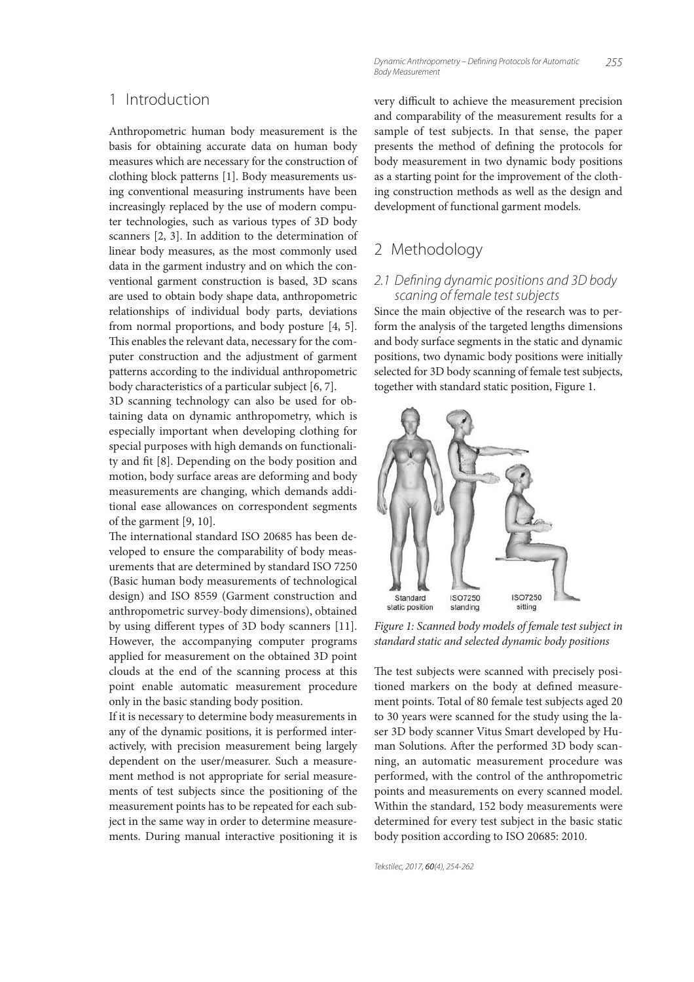### 1 Introduction

Anthropometric human body measurement is the basis for obtaining accurate data on human body measures which are necessary for the construction of clothing block patterns [1]. Body measurements using conventional measuring instruments have been increasingly replaced by the use of modern computer technologies, such as various types of 3D body scanners [2, 3]. In addition to the determination of linear body measures, as the most commonly used data in the garment industry and on which the conventional garment construction is based, 3D scans are used to obtain body shape data, anthropometric relationships of individual body parts, deviations from normal proportions, and body posture [4, 5]. This enables the relevant data, necessary for the computer construction and the adjustment of garment patterns according to the individual anthropometric body characteristics of a particular subject [6, 7].

3D scanning technology can also be used for obtaining data on dynamic anthropometry, which is especially important when developing clothing for special purposes with high demands on functionality and fit [8]. Depending on the body position and motion, body surface areas are deforming and body measurements are changing, which demands additional ease allowances on correspondent segments of the garment [9, 10].

The international standard ISO 20685 has been developed to ensure the comparability of body measurements that are determined by standard ISO 7250 (Basic human body measurements of technological design) and ISO 8559 (Garment construction and anthropometric survey-body dimensions), obtained by using different types of 3D body scanners [11]. However, the accompanying computer programs applied for measurement on the obtained 3D point clouds at the end of the scanning process at this point enable automatic measurement procedure only in the basic standing body position.

If it is necessary to determine body measurements in any of the dynamic positions, it is performed interactively, with precision measurement being largely dependent on the user/measurer. Such a measurement method is not appropriate for serial measurements of test subjects since the positioning of the measurement points has to be repeated for each subject in the same way in order to determine measurements. During manual interactive positioning it is

*255 Dynamic Anthropometry – Defi ning Protocols for Automatic Body Measurement*

very difficult to achieve the measurement precision and comparability of the measurement results for a sample of test subjects. In that sense, the paper presents the method of defining the protocols for body measurement in two dynamic body positions as a starting point for the improvement of the clothing construction methods as well as the design and development of functional garment models.

# 2 Methodology

#### *2.1 Defi ning dynamic positions and 3D body scaning of female test subjects*

Since the main objective of the research was to perform the analysis of the targeted lengths dimensions and body surface segments in the static and dynamic positions, two dynamic body positions were initially selected for 3D body scanning of female test subjects, together with standard static position, Figure 1.



Figure 1: Scanned body models of female test subject in standard static and selected dynamic body positions

The test subjects were scanned with precisely positioned markers on the body at defined measurement points. Total of 80 female test subjects aged 20 to 30 years were scanned for the study using the laser 3D body scanner Vitus Smart developed by Human Solutions. After the performed 3D body scanning, an automatic measurement procedure was performed, with the control of the anthropometric points and measurements on every scanned model. Within the standard, 152 body measurements were determined for every test subject in the basic static body position according to ISO 20685: 2010.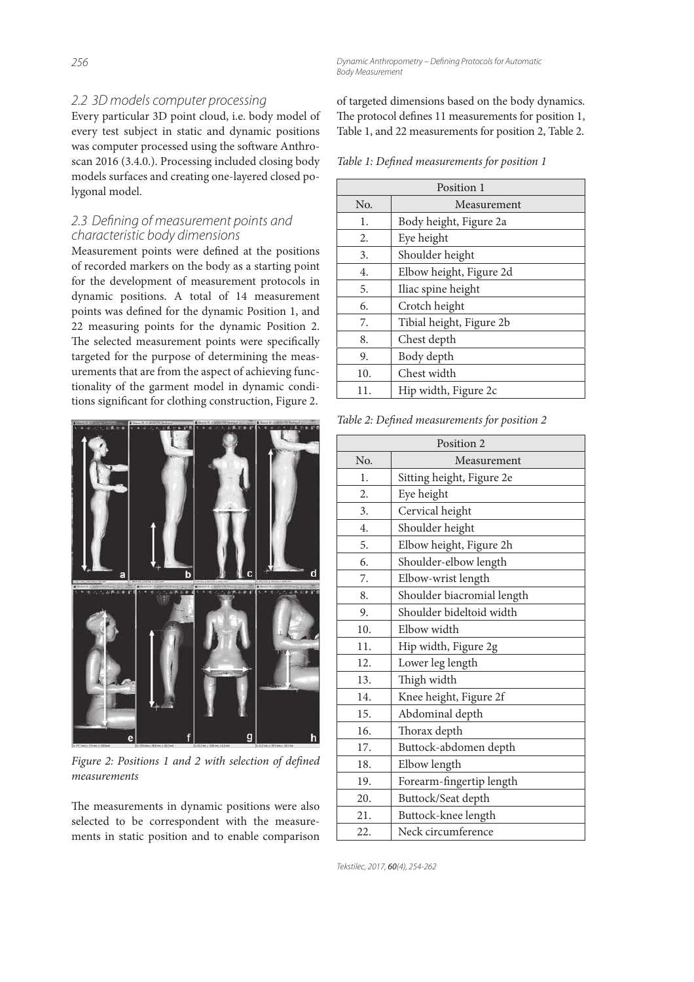**Dynamic Anthropometry – Defining Protocols for Automatic** *Body Measurement*

#### *2.2 3D models computer processing*

Every particular 3D point cloud, i.e. body model of every test subject in static and dynamic positions was computer processed using the software Anthroscan 2016 (3.4.0.). Processing included closing body models surfaces and creating one-layered closed polygonal model.

#### 2.3 Defining of measurement points and *characteristic body dimensions*

Measurement points were defined at the positions of recorded markers on the body as a starting point for the development of measurement protocols in dynamic positions. A total of 14 measurement points was defined for the dynamic Position 1, and 22 measuring points for the dynamic Position 2. The selected measurement points were specifically targeted for the purpose of determining the measurements that are from the aspect of achieving functionality of the garment model in dynamic conditions significant for clothing construction, Figure 2.



Figure 2: Positions 1 and 2 with selection of defined measurements

The measurements in dynamic positions were also selected to be correspondent with the measurements in static position and to enable comparison of targeted dimensions based on the body dynamics. The protocol defines 11 measurements for position 1, Table 1, and 22 measurements for position 2, Table 2.

Table 1: Defined measurements for position 1

| Position 1 |                          |  |  |  |
|------------|--------------------------|--|--|--|
| No.        | Measurement              |  |  |  |
| 1.         | Body height, Figure 2a   |  |  |  |
| 2.         | Eye height               |  |  |  |
| 3.         | Shoulder height          |  |  |  |
| 4.         | Elbow height, Figure 2d  |  |  |  |
| 5.         | Iliac spine height       |  |  |  |
| 6.         | Crotch height            |  |  |  |
| 7.         | Tibial height, Figure 2b |  |  |  |
| 8.         | Chest depth              |  |  |  |
| 9.         | Body depth               |  |  |  |
| 10.        | Chest width              |  |  |  |
| 11.        | Hip width, Figure 2c     |  |  |  |

Table 2: Defined measurements for position 2

| Position 2       |                            |  |  |  |
|------------------|----------------------------|--|--|--|
| N <sub>0</sub>   | Measurement                |  |  |  |
| 1.               | Sitting height, Figure 2e  |  |  |  |
| 2.               | Eye height                 |  |  |  |
| 3.               | Cervical height            |  |  |  |
| $\overline{4}$ . | Shoulder height            |  |  |  |
| 5.               | Elbow height, Figure 2h    |  |  |  |
| 6.               | Shoulder-elbow length      |  |  |  |
| 7.               | Elbow-wrist length         |  |  |  |
| 8.               | Shoulder biacromial length |  |  |  |
| 9.               | Shoulder bideltoid width   |  |  |  |
| 10.              | Elbow width                |  |  |  |
| 11.              | Hip width, Figure 2g       |  |  |  |
| 12.              | Lower leg length           |  |  |  |
| 13.              | Thigh width                |  |  |  |
| 14.              | Knee height, Figure 2f     |  |  |  |
| 15.              | Abdominal depth            |  |  |  |
| 16.              | Thorax depth               |  |  |  |
| 17.              | Buttock-abdomen depth      |  |  |  |
| 18.              | Elbow length               |  |  |  |
| 19.              | Forearm-fingertip length   |  |  |  |
| 20.              | Buttock/Seat depth         |  |  |  |
| 21.              | Buttock-knee length        |  |  |  |
| 22.              | Neck circumference         |  |  |  |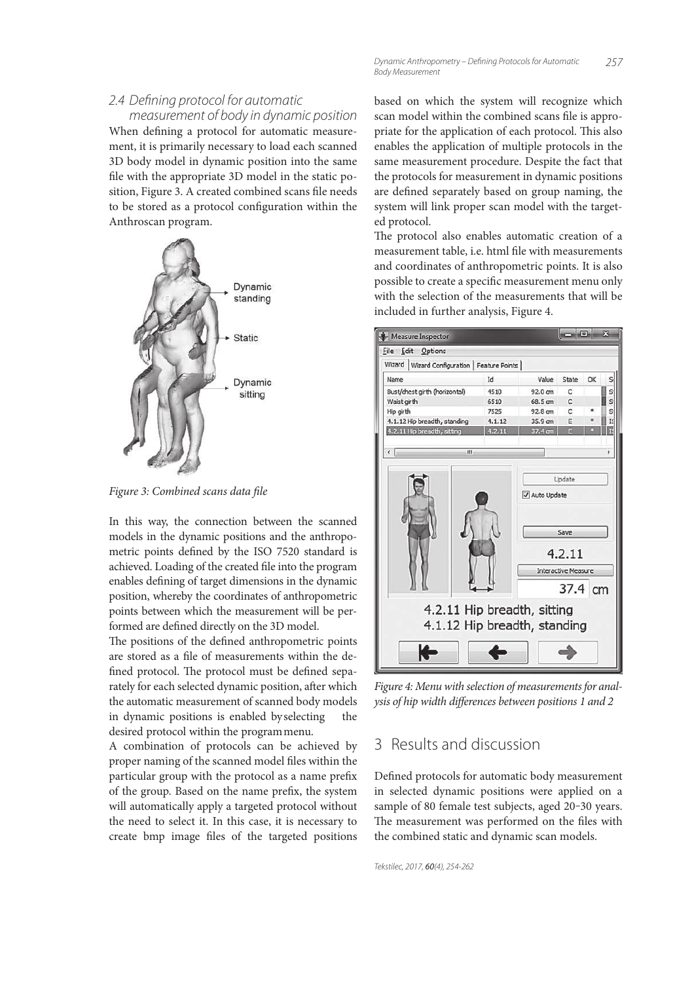*measurement of body in dynamic position* When defining a protocol for automatic measurement, it is primarily necessary to load each scanned 3D body model in dynamic position into the same file with the appropriate 3D model in the static position, Figure 3. A created combined scans file needs to be stored as a protocol configuration within the Anthroscan program.



Figure 3: Combined scans data file

In this way, the connection between the scanned models in the dynamic positions and the anthropometric points defined by the ISO 7520 standard is achieved. Loading of the created file into the program enables defining of target dimensions in the dynamic position, whereby the coordinates of anthropometric points between which the measurement will be performed are defined directly on the 3D model.

The positions of the defined anthropometric points are stored as a file of measurements within the defined protocol. The protocol must be defined separately for each selected dynamic position, after which the automatic measurement of scanned body models in dynamic positions is enabled by selecting desired protocol within the program menu.

A combination of protocols can be achieved by proper naming of the scanned model files within the particular group with the protocol as a name prefix of the group. Based on the name prefix, the system will automatically apply a targeted protocol without the need to select it. In this case, it is necessary to create bmp image files of the targeted positions based on which the system will recognize which scan model within the combined scans file is appropriate for the application of each protocol. This also enables the application of multiple protocols in the same measurement procedure. Despite the fact that the protocols for measurement in dynamic positions are defined separately based on group naming, the system will link proper scan model with the targeted protocol.

The protocol also enables automatic creation of a measurement table, i.e. html file with measurements and coordinates of anthropometric points. It is also possible to create a specific measurement menu only with the selection of the measurements that will be included in further analysis, Figure 4.



Figure 4: Menu with selection of measurements for analysis of hip width differences between positions 1 and 2

# 3 Results and discussion

Defined protocols for automatic body measurement in selected dynamic positions were applied on a sample of 80 female test subjects, aged 20-30 years. The measurement was performed on the files with the combined static and dynamic scan models.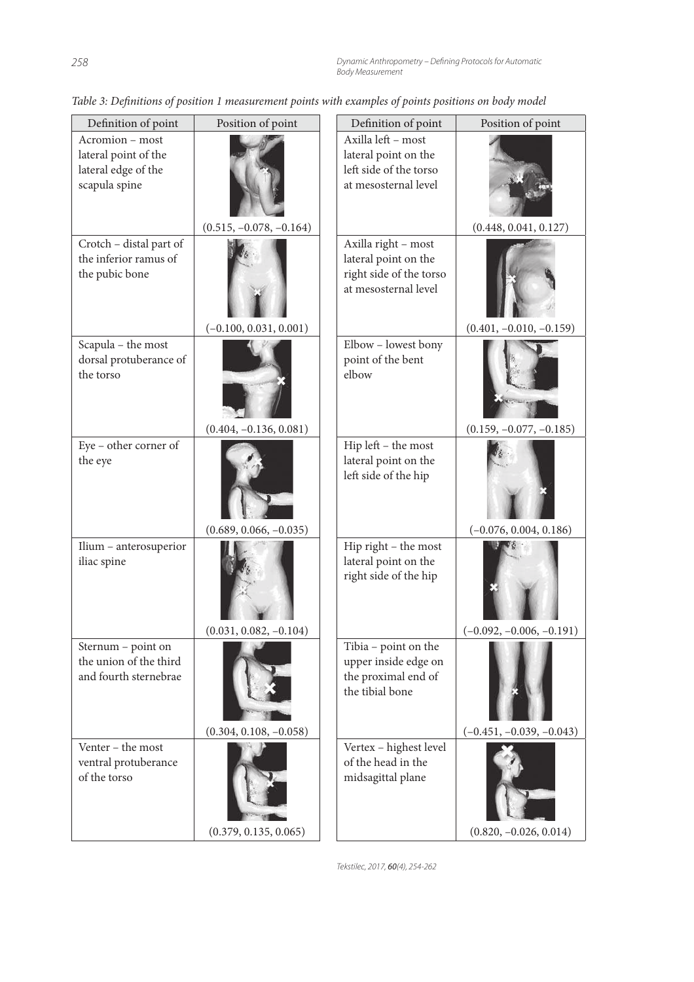| Definition of point                                                             | Position of point         | Definition of point                                                                            | Position of point          |
|---------------------------------------------------------------------------------|---------------------------|------------------------------------------------------------------------------------------------|----------------------------|
| Acromion – most<br>lateral point of the<br>lateral edge of the<br>scapula spine |                           | Axilla left - most<br>lateral point on the<br>left side of the torso<br>at mesosternal level   |                            |
|                                                                                 | $(0.515, -0.078, -0.164)$ |                                                                                                | (0.448, 0.041, 0.127)      |
| Crotch - distal part of<br>the inferior ramus of<br>the pubic bone              | $(-0.100, 0.031, 0.001)$  | Axilla right - most<br>lateral point on the<br>right side of the torso<br>at mesosternal level | $(0.401, -0.010, -0.159)$  |
| Scapula - the most<br>dorsal protuberance of<br>the torso                       | $(0.404, -0.136, 0.081)$  | Elbow - lowest bony<br>point of the bent<br>elbow                                              | $(0.159, -0.077, -0.185)$  |
| Eye - other corner of<br>the eye                                                | $(0.689, 0.066, -0.035)$  | Hip left - the most<br>lateral point on the<br>left side of the hip                            | $(-0.076, 0.004, 0.186)$   |
| Ilium - anterosuperior<br>iliac spine                                           | $(0.031, 0.082, -0.104)$  | Hip right - the most<br>lateral point on the<br>right side of the hip                          | $(-0.092, -0.006, -0.191)$ |
| Sternum - point on<br>the union of the third<br>and fourth sternebrae           |                           | Tibia - point on the<br>upper inside edge on<br>the proximal end of<br>the tibial bone         |                            |
| Venter - the most                                                               | $(0.304, 0.108, -0.058)$  |                                                                                                | $(-0.451, -0.039, -0.043)$ |
| ventral protuberance<br>of the torso                                            | (0.379, 0.135, 0.065)     | Vertex - highest level<br>of the head in the<br>midsagittal plane                              | $(0.820, -0.026, 0.014)$   |

Table 3: Definitions of position 1 measurement points with examples of points positions on body model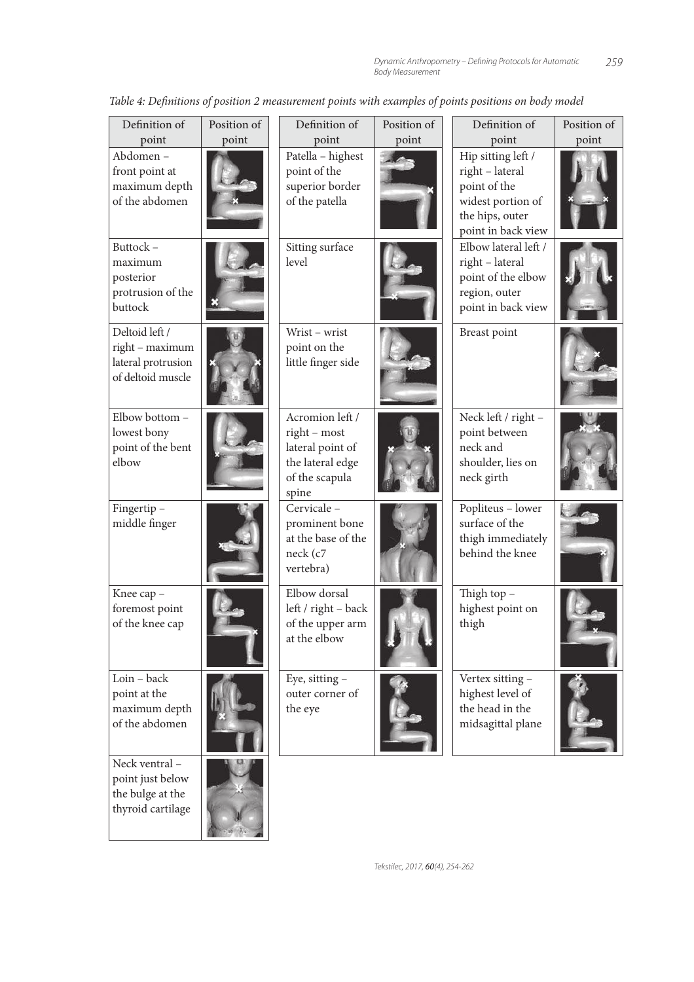| Definition of                                                                | Position of | Definition of                                                                                      | Position of | Definition of                                                                                                       | Position of |
|------------------------------------------------------------------------------|-------------|----------------------------------------------------------------------------------------------------|-------------|---------------------------------------------------------------------------------------------------------------------|-------------|
| point                                                                        | point       | point                                                                                              | point       | point                                                                                                               | point       |
| Abdomen-<br>front point at<br>maximum depth<br>of the abdomen                |             | Patella - highest<br>point of the<br>superior border<br>of the patella                             |             | Hip sitting left /<br>right - lateral<br>point of the<br>widest portion of<br>the hips, outer<br>point in back view |             |
| Buttock-<br>maximum<br>posterior<br>protrusion of the<br>buttock             |             | Sitting surface<br>level                                                                           |             | Elbow lateral left /<br>right - lateral<br>point of the elbow<br>region, outer<br>point in back view                |             |
| Deltoid left /<br>right - maximum<br>lateral protrusion<br>of deltoid muscle |             | Wrist - wrist<br>point on the<br>little finger side                                                |             | Breast point                                                                                                        |             |
| Elbow bottom -<br>lowest bony<br>point of the bent<br>elbow                  |             | Acromion left /<br>right - most<br>lateral point of<br>the lateral edge<br>of the scapula<br>spine |             | Neck left / right -<br>point between<br>neck and<br>shoulder, lies on<br>neck girth                                 |             |
| Fingertip-<br>middle finger                                                  |             | Cervicale -<br>prominent bone<br>at the base of the<br>neck (c7<br>vertebra)                       |             | Popliteus - lower<br>surface of the<br>thigh immediately<br>behind the knee                                         |             |
| Knee cap -<br>foremost point<br>of the knee cap                              |             | Elbow dorsal<br>left / right - back<br>of the upper arm<br>at the elbow                            |             | Thigh top $-$<br>highest point on<br>thigh                                                                          |             |
| Loin - back<br>point at the<br>maximum depth<br>of the abdomen               |             | Eye, sitting -<br>outer corner of<br>the eye                                                       |             | Vertex sitting -<br>highest level of<br>the head in the<br>midsagittal plane                                        |             |
| Neck ventral-<br>point just below                                            |             |                                                                                                    |             |                                                                                                                     |             |

the bulge at the thyroid cartilage

Table 4: Definitions of position 2 measurement points with examples of points positions on body model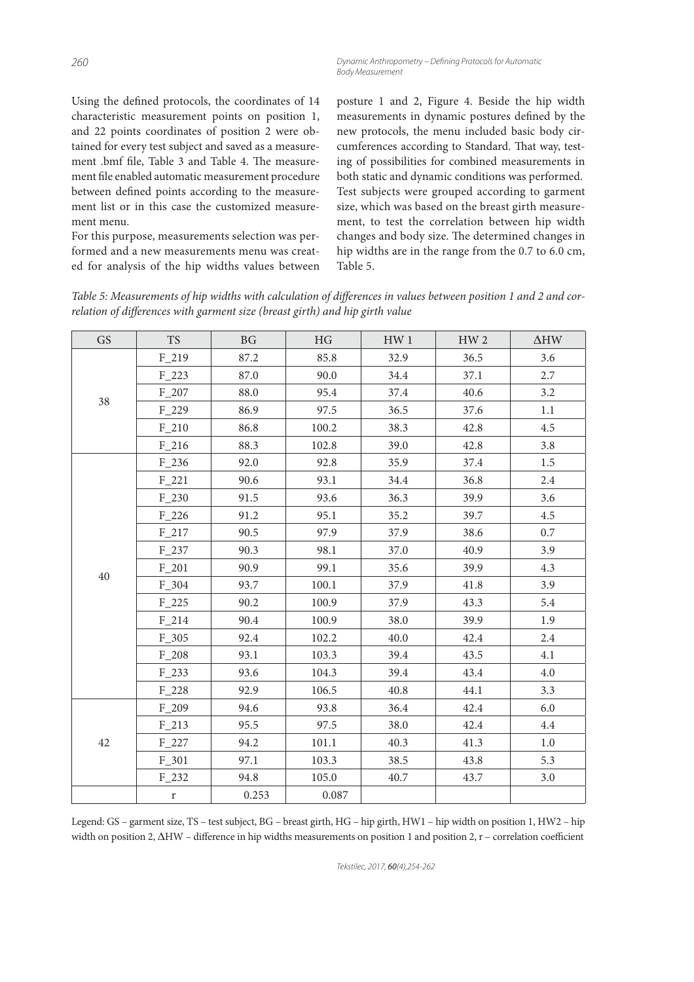Using the defined protocols, the coordinates of 14 characteristic measurement points on position 1, and 22 points coordinates of position 2 were obtained for every test subject and saved as a measurement .bmf file, Table 3 and Table 4. The measurement file enabled automatic measurement procedure between defined points according to the measurement list or in this case the customized measurement menu.

For this purpose, measurements selection was performed and a new measurements menu was created for analysis of the hip widths values between posture 1 and 2, Figure 4. Beside the hip width measurements in dynamic postures defined by the new protocols, the menu included basic body circumferences according to Standard. That way, testing of possibilities for combined measurements in both static and dynamic conditions was performed. Test subjects were grouped according to garment size, which was based on the breast girth measurement, to test the correlation between hip width changes and body size. The determined changes in hip widths are in the range from the 0.7 to 6.0 cm, Table 5.

Table 5: Measurements of hip widths with calculation of differences in values between position 1 and 2 and correlation of differences with garment size (breast girth) and hip girth value

| <b>GS</b> | <b>TS</b>   | <b>BG</b> | HG    | HW <sub>1</sub> | HW <sub>2</sub> | $\Delta$ HW |
|-----------|-------------|-----------|-------|-----------------|-----------------|-------------|
| 38        | $F_219$     | 87.2      | 85.8  | 32.9            | 36.5            | 3.6         |
|           | $F_223$     | 87.0      | 90.0  | 34.4            | 37.1            | 2.7         |
|           | $F_207$     | 88.0      | 95.4  | 37.4            | 40.6            | 3.2         |
|           | $F_229$     | 86.9      | 97.5  | 36.5            | 37.6            | 1.1         |
|           | $F_210$     | 86.8      | 100.2 | 38.3            | 42.8            | 4.5         |
|           | $F_216$     | 88.3      | 102.8 | 39.0            | 42.8            | 3.8         |
|           | $F_236$     | 92.0      | 92.8  | 35.9            | 37.4            | 1.5         |
|           | $F_221$     | 90.6      | 93.1  | 34.4            | 36.8            | 2.4         |
|           | $F_230$     | 91.5      | 93.6  | 36.3            | 39.9            | 3.6         |
|           | $F_226$     | 91.2      | 95.1  | 35.2            | 39.7            | 4.5         |
|           | $F_217$     | 90.5      | 97.9  | 37.9            | 38.6            | 0.7         |
|           | $F_237$     | 90.3      | 98.1  | 37.0            | 40.9            | 3.9         |
|           | $F_2$ 201   | 90.9      | 99.1  | 35.6            | 39.9            | 4.3         |
| $40\,$    | $F_304$     | 93.7      | 100.1 | 37.9            | 41.8            | 3.9         |
|           | $F_225$     | 90.2      | 100.9 | 37.9            | 43.3            | 5.4         |
|           | $F_214$     | 90.4      | 100.9 | 38.0            | 39.9            | 1.9         |
|           | $F_305$     | 92.4      | 102.2 | 40.0            | 42.4            | 2.4         |
|           | $F_208$     | 93.1      | 103.3 | 39.4            | 43.5            | 4.1         |
|           | $F_2$ 33    | 93.6      | 104.3 | 39.4            | 43.4            | 4.0         |
|           | $F_228$     | 92.9      | 106.5 | 40.8            | 44.1            | 3.3         |
| $42\,$    | F 209       | 94.6      | 93.8  | 36.4            | 42.4            | 6.0         |
|           | $F_213$     | 95.5      | 97.5  | 38.0            | 42.4            | 4.4         |
|           | $F_227$     | 94.2      | 101.1 | 40.3            | 41.3            | $1.0\,$     |
|           | $F_301$     | 97.1      | 103.3 | 38.5            | 43.8            | 5.3         |
|           | $F_232$     | 94.8      | 105.0 | 40.7            | 43.7            | 3.0         |
|           | $\mathbf r$ | 0.253     | 0.087 |                 |                 |             |

Legend: GS – garment size, TS – test subject, BG – breast girth, HG – hip girth, HW1 – hip width on position 1, HW2 – hip width on position 2,  $\Delta H W$  – difference in hip widths measurements on position 1 and position 2, r – correlation coefficient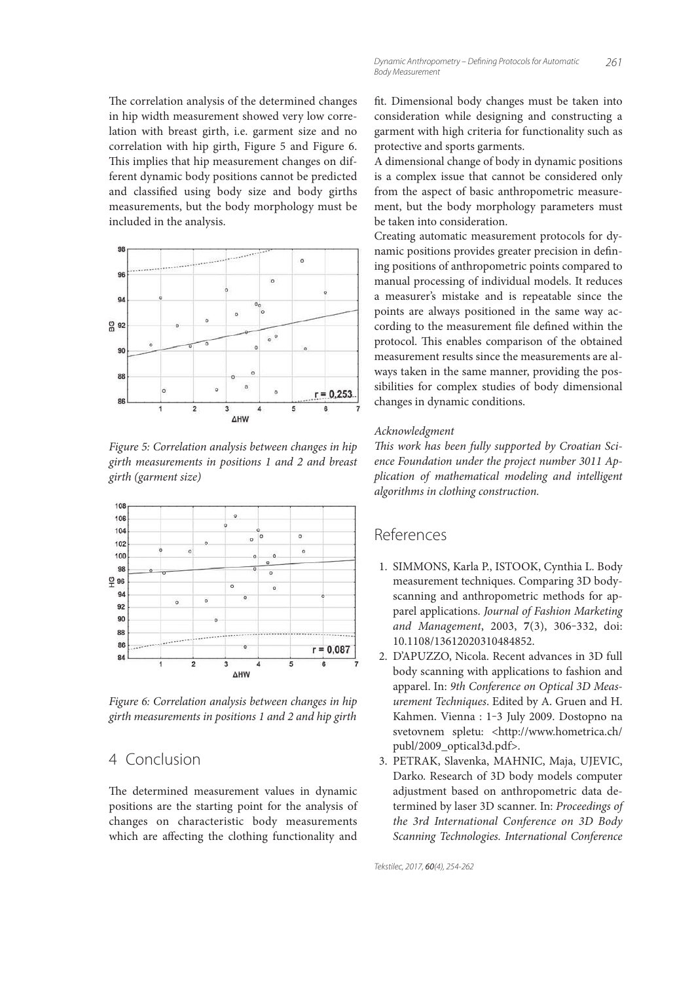The correlation analysis of the determined changes in hip width measurement showed very low correlation with breast girth, i.e. garment size and no correlation with hip girth, Figure 5 and Figure 6. This implies that hip measurement changes on different dynamic body positions cannot be predicted and classified using body size and body girths measurements, but the body morphology must be included in the analysis.



Figure 5: Correlation analysis between changes in hip girth measurements in positions 1 and 2 and breast girth (garment size)



Figure 6: Correlation analysis between changes in hip girth measurements in positions 1 and 2 and hip girth

# 4 Conclusion

The determined measurement values in dynamic positions are the starting point for the analysis of changes on characteristic body measurements which are affecting the clothing functionality and

fit. Dimensional body changes must be taken into consideration while designing and constructing a garment with high criteria for functionality such as protective and sports garments.

A dimensional change of body in dynamic positions is a complex issue that cannot be considered only from the aspect of basic anthropometric measurement, but the body morphology parameters must be taken into consideration.

Creating automatic measurement protocols for dynamic positions provides greater precision in defining positions of anthropometric points compared to manual processing of individual models. It reduces a measurer's mistake and is repeatable since the points are always positioned in the same way according to the measurement file defined within the protocol. This enables comparison of the obtained measurement results since the measurements are always taken in the same manner, providing the possibilities for complex studies of body dimensional changes in dynamic conditions.

#### Acknowledgment

This work has been fully supported by Croatian Science Foundation under the project number 3011 Application of mathematical modeling and intelligent algorithms in clothing construction.

## References

- 1. SIMMONS, Karla P., ISTOOK, Cynthia L. Body measurement techniques. Comparing 3D bodyscanning and anthropometric methods for apparel applications. Journal of Fashion Marketing and Management, 2003, **7**(3), 306‒332, doi: 10.1108/13612020310484852.
- 2. D'APUZZO, Nicola. Recent advances in 3D full body scanning with applications to fashion and apparel. In: 9th Conference on Optical 3D Measurement Techniques. Edited by A. Gruen and H. Kahmen. Vienna : 1-3 July 2009. Dostopno na svetovnem spletu: <http://www.hometrica.ch/ publ/2009\_optical3d.pdf>.
- 3. PETRAK, Slavenka, MAHNIC, Maja, UJEVIC, Darko. Research of 3D body models computer adjustment based on anthropometric data determined by laser 3D scanner. In: Proceedings of the 3rd International Conference on 3D Body Scanning Technologies. International Conference